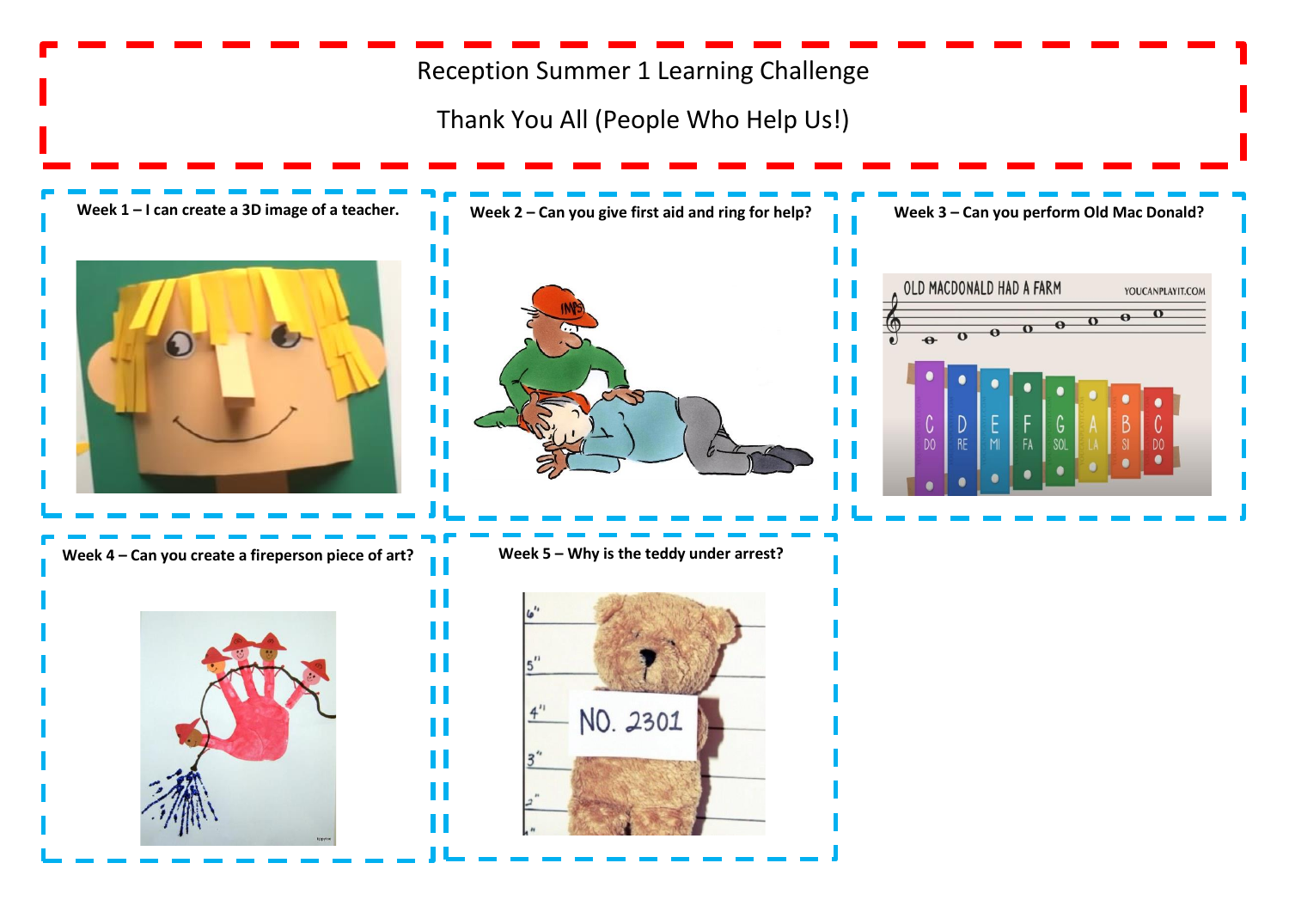# Reception Summer 1 Learning Challenge

Thank You All (People Who Help Us!)

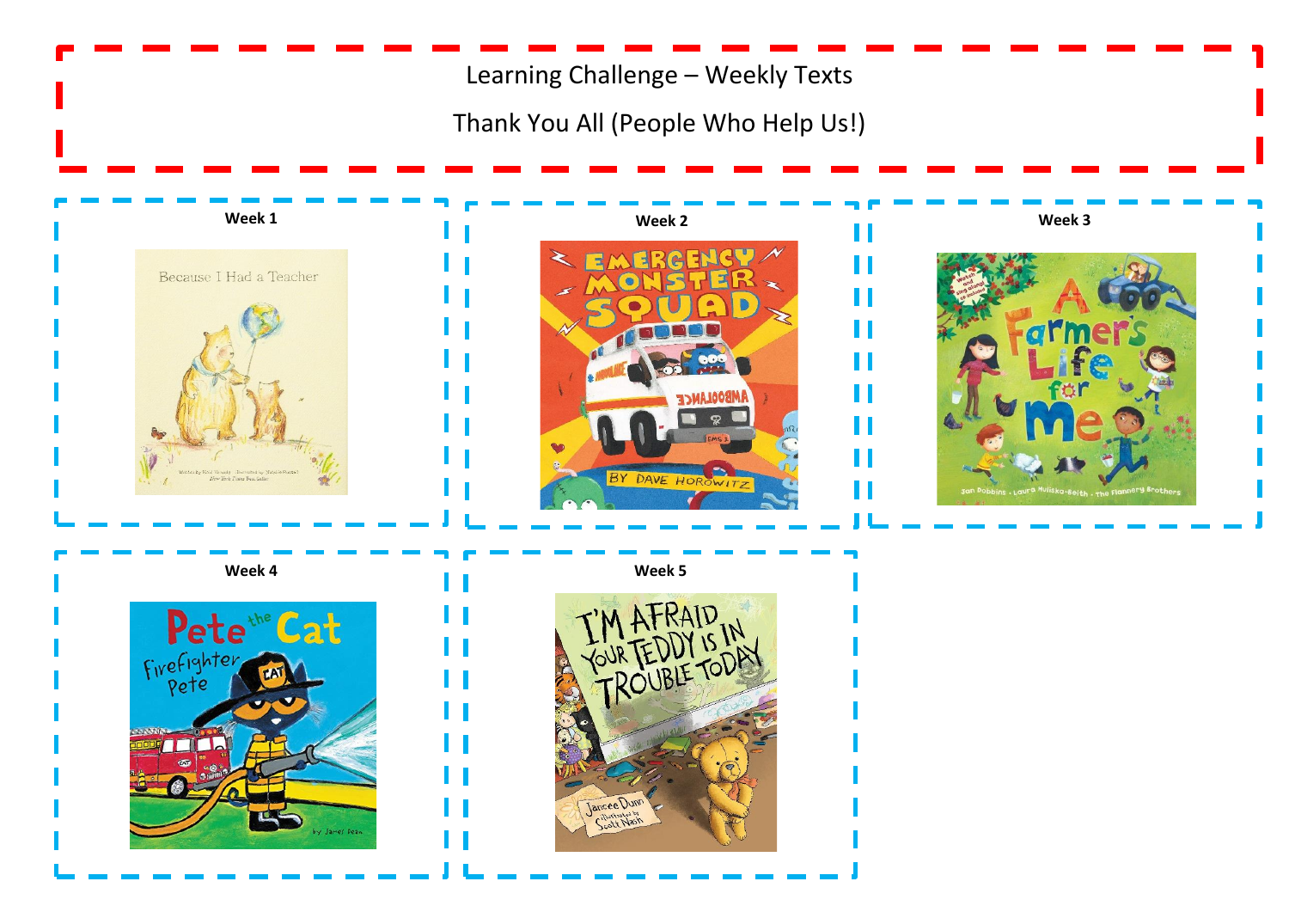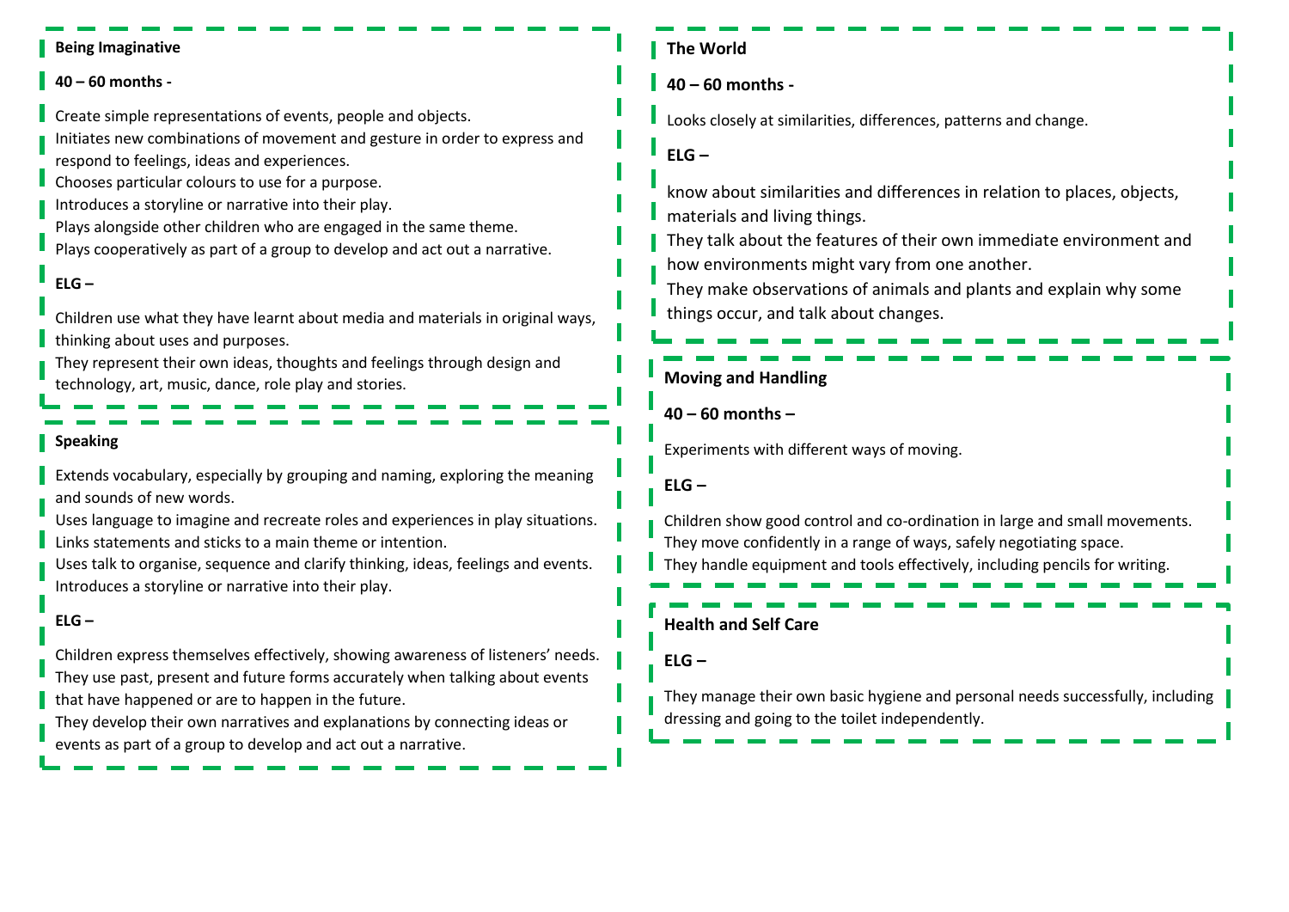#### **Being Imaginative**

#### **40 – 60 months -**

Create simple representations of events, people and objects.

Initiates new combinations of movement and gesture in order to express and

respond to feelings, ideas and experiences.

Chooses particular colours to use for a purpose.

Introduces a storyline or narrative into their play.

Plays alongside other children who are engaged in the same theme.

Plays cooperatively as part of a group to develop and act out a narrative.

## **ELG –**

Children use what they have learnt about media and materials in original ways, thinking about uses and purposes.

They represent their own ideas, thoughts and feelings through design and technology, art, music, dance, role play and stories.

## **Speaking**

Extends vocabulary, especially by grouping and naming, exploring the meaning and sounds of new words.

Uses language to imagine and recreate roles and experiences in play situations. Links statements and sticks to a main theme or intention.

Uses talk to organise, sequence and clarify thinking, ideas, feelings and events. Introduces a storyline or narrative into their play.

## **ELG –**

Children express themselves effectively, showing awareness of listeners' needs. They use past, present and future forms accurately when talking about events that have happened or are to happen in the future.

They develop their own narratives and explanations by connecting ideas or events as part of a group to develop and act out a narrative.

## **The World**

**40 – 60 months -**

Looks closely at similarities, differences, patterns and change.

**ELG –**

know about similarities and differences in relation to places, objects, materials and living things.

They talk about the features of their own immediate environment and how environments might vary from one another.

They make observations of animals and plants and explain why some things occur, and talk about changes.

## **Moving and Handling**

**40 – 60 months –**

Experiments with different ways of moving.

**ELG –**

Children show good control and co-ordination in large and small movements. They move confidently in a range of ways, safely negotiating space. They handle equipment and tools effectively, including pencils for writing.

**Health and Self Care**

**ELG –**

They manage their own basic hygiene and personal needs successfully, including dressing and going to the toilet independently.